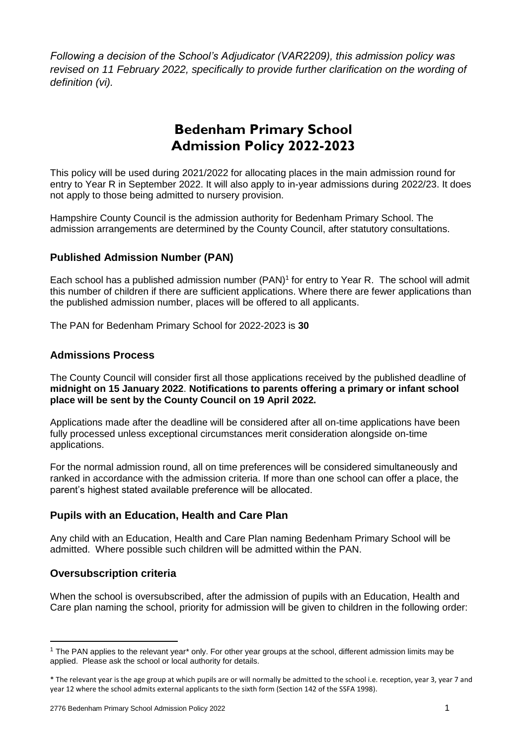*Following a decision of the School's Adjudicator (VAR2209), this admission policy was revised on 11 February 2022, specifically to provide further clarification on the wording of definition (vi).*

# **Bedenham Primary School Admission Policy 2022-2023**

This policy will be used during 2021/2022 for allocating places in the main admission round for entry to Year R in September 2022. It will also apply to in-year admissions during 2022/23. It does not apply to those being admitted to nursery provision.

Hampshire County Council is the admission authority for Bedenham Primary School. The admission arrangements are determined by the County Council, after statutory consultations.

# **Published Admission Number (PAN)**

Each school has a published admission number (PAN)<sup>1</sup> for entry to Year R. The school will admit this number of children if there are sufficient applications. Where there are fewer applications than the published admission number, places will be offered to all applicants.

The PAN for Bedenham Primary School for 2022-2023 is **30**

### **Admissions Process**

The County Council will consider first all those applications received by the published deadline of **midnight on 15 January 2022**. **Notifications to parents offering a primary or infant school place will be sent by the County Council on 19 April 2022.**

Applications made after the deadline will be considered after all on-time applications have been fully processed unless exceptional circumstances merit consideration alongside on-time applications.

For the normal admission round, all on time preferences will be considered simultaneously and ranked in accordance with the admission criteria. If more than one school can offer a place, the parent's highest stated available preference will be allocated.

# **Pupils with an Education, Health and Care Plan**

Any child with an Education, Health and Care Plan naming Bedenham Primary School will be admitted. Where possible such children will be admitted within the PAN.

# **Oversubscription criteria**

**.** 

When the school is oversubscribed, after the admission of pupils with an Education, Health and Care plan naming the school, priority for admission will be given to children in the following order:

<sup>1</sup> The PAN applies to the relevant year\* only. For other year groups at the school, different admission limits may be applied. Please ask the school or local authority for details.

<sup>\*</sup> The relevant year is the age group at which pupils are or will normally be admitted to the school i.e. reception, year 3, year 7 and year 12 where the school admits external applicants to the sixth form (Section 142 of the SSFA 1998).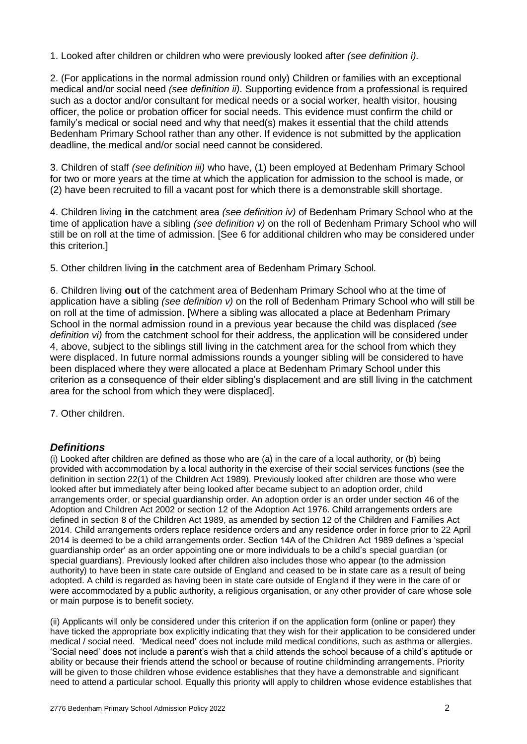1. Looked after children or children who were previously looked after *(see definition i).* 

2. (For applications in the normal admission round only) Children or families with an exceptional medical and/or social need *(see definition ii)*. Supporting evidence from a professional is required such as a doctor and/or consultant for medical needs or a social worker, health visitor, housing officer, the police or probation officer for social needs. This evidence must confirm the child or family's medical or social need and why that need(s) makes it essential that the child attends Bedenham Primary School rather than any other. If evidence is not submitted by the application deadline, the medical and/or social need cannot be considered.

3. Children of staff *(see definition iii)* who have, (1) been employed at Bedenham Primary School for two or more years at the time at which the application for admission to the school is made, or (2) have been recruited to fill a vacant post for which there is a demonstrable skill shortage.

4. Children living **in** the catchment area *(see definition iv)* of Bedenham Primary School who at the time of application have a sibling *(see definition v)* on the roll of Bedenham Primary School who will still be on roll at the time of admission. [See 6 for additional children who may be considered under this criterion.]

5. Other children living **in** the catchment area of Bedenham Primary School*.*

6. Children living **out** of the catchment area of Bedenham Primary School who at the time of application have a sibling *(see definition v)* on the roll of Bedenham Primary School who will still be on roll at the time of admission. [Where a sibling was allocated a place at Bedenham Primary School in the normal admission round in a previous year because the child was displaced *(see definition vi)* from the catchment school for their address, the application will be considered under 4, above, subject to the siblings still living in the catchment area for the school from which they were displaced. In future normal admissions rounds a younger sibling will be considered to have been displaced where they were allocated a place at Bedenham Primary School under this criterion as a consequence of their elder sibling's displacement and are still living in the catchment area for the school from which they were displaced].

7. Other children.

# *Definitions*

(i) Looked after children are defined as those who are (a) in the care of a local authority, or (b) being provided with accommodation by a local authority in the exercise of their social services functions (see the definition in section 22(1) of the Children Act 1989). Previously looked after children are those who were looked after but immediately after being looked after became subject to an adoption order, child arrangements order, or special guardianship order. An adoption order is an order under section 46 of the Adoption and Children Act 2002 or section 12 of the Adoption Act 1976. Child arrangements orders are defined in section 8 of the Children Act 1989, as amended by section 12 of the Children and Families Act 2014. Child arrangements orders replace residence orders and any residence order in force prior to 22 April 2014 is deemed to be a child arrangements order. Section 14A of the Children Act 1989 defines a 'special guardianship order' as an order appointing one or more individuals to be a child's special guardian (or special guardians). Previously looked after children also includes those who appear (to the admission authority) to have been in state care outside of England and ceased to be in state care as a result of being adopted. A child is regarded as having been in state care outside of England if they were in the care of or were accommodated by a public authority, a religious organisation, or any other provider of care whose sole or main purpose is to benefit society.

(ii) Applicants will only be considered under this criterion if on the application form (online or paper) they have ticked the appropriate box explicitly indicating that they wish for their application to be considered under medical / social need. 'Medical need' does not include mild medical conditions, such as asthma or allergies. 'Social need' does not include a parent's wish that a child attends the school because of a child's aptitude or ability or because their friends attend the school or because of routine childminding arrangements. Priority will be given to those children whose evidence establishes that they have a demonstrable and significant need to attend a particular school. Equally this priority will apply to children whose evidence establishes that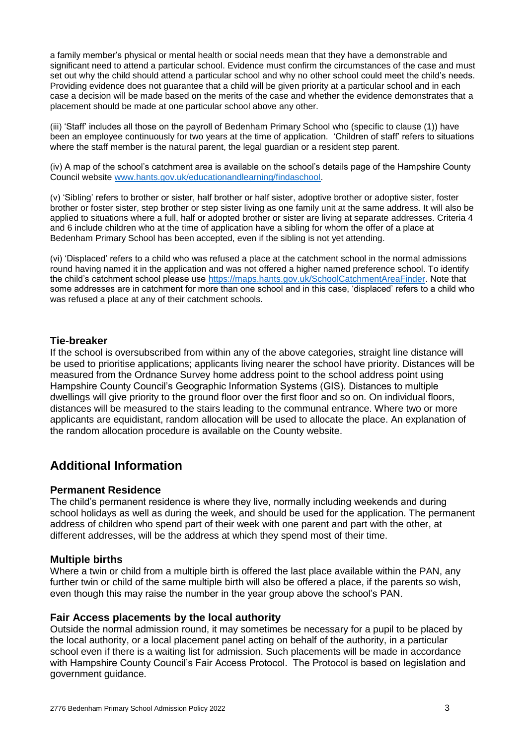a family member's physical or mental health or social needs mean that they have a demonstrable and significant need to attend a particular school. Evidence must confirm the circumstances of the case and must set out why the child should attend a particular school and why no other school could meet the child's needs. Providing evidence does not guarantee that a child will be given priority at a particular school and in each case a decision will be made based on the merits of the case and whether the evidence demonstrates that a placement should be made at one particular school above any other.

(iii) 'Staff' includes all those on the payroll of Bedenham Primary School who (specific to clause (1)) have been an employee continuously for two years at the time of application. 'Children of staff' refers to situations where the staff member is the natural parent, the legal guardian or a resident step parent.

(iv) A map of the school's catchment area is available on the school's details page of the Hampshire County Council website [www.hants.gov.uk/educationandlearning/findaschool.](http://www.hants.gov.uk/educationandlearning/findaschool)

(v) 'Sibling' refers to brother or sister, half brother or half sister, adoptive brother or adoptive sister, foster brother or foster sister, step brother or step sister living as one family unit at the same address. It will also be applied to situations where a full, half or adopted brother or sister are living at separate addresses. Criteria 4 and 6 include children who at the time of application have a sibling for whom the offer of a place at Bedenham Primary School has been accepted, even if the sibling is not yet attending.

(vi) 'Displaced' refers to a child who was refused a place at the catchment school in the normal admissions round having named it in the application and was not offered a higher named preference school. To identify the child's catchment school please use [https://maps.hants.gov.uk/SchoolCatchmentAreaFinder.](https://maps.hants.gov.uk/SchoolCatchmentAreaFinder/) Note that some addresses are in catchment for more than one school and in this case, 'displaced' refers to a child who was refused a place at any of their catchment schools.

#### **Tie-breaker**

If the school is oversubscribed from within any of the above categories, straight line distance will be used to prioritise applications; applicants living nearer the school have priority. Distances will be measured from the Ordnance Survey home address point to the school address point using Hampshire County Council's Geographic Information Systems (GIS). Distances to multiple dwellings will give priority to the ground floor over the first floor and so on. On individual floors, distances will be measured to the stairs leading to the communal entrance. Where two or more applicants are equidistant, random allocation will be used to allocate the place. An explanation of the random allocation procedure is available on the County website.

# **Additional Information**

#### **Permanent Residence**

The child's permanent residence is where they live, normally including weekends and during school holidays as well as during the week, and should be used for the application. The permanent address of children who spend part of their week with one parent and part with the other, at different addresses, will be the address at which they spend most of their time.

#### **Multiple births**

Where a twin or child from a multiple birth is offered the last place available within the PAN, any further twin or child of the same multiple birth will also be offered a place, if the parents so wish, even though this may raise the number in the year group above the school's PAN.

#### **Fair Access placements by the local authority**

Outside the normal admission round, it may sometimes be necessary for a pupil to be placed by the local authority, or a local placement panel acting on behalf of the authority, in a particular school even if there is a waiting list for admission. Such placements will be made in accordance with Hampshire County Council's Fair Access Protocol. The Protocol is based on legislation and government guidance.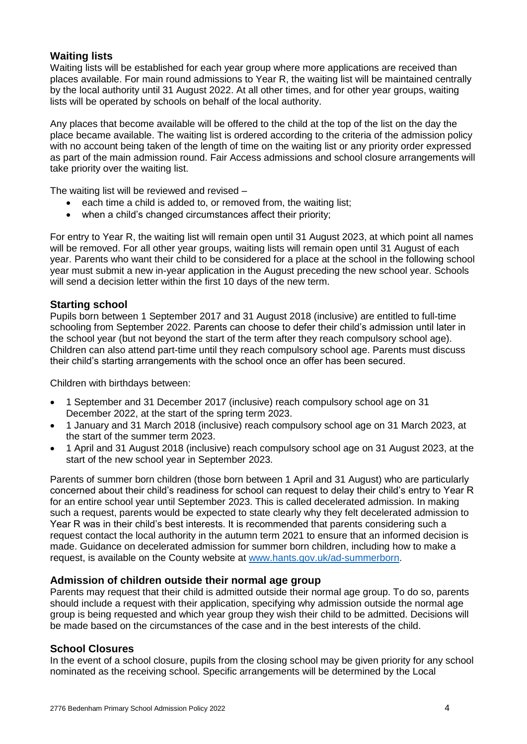# **Waiting lists**

Waiting lists will be established for each year group where more applications are received than places available. For main round admissions to Year R, the waiting list will be maintained centrally by the local authority until 31 August 2022. At all other times, and for other year groups, waiting lists will be operated by schools on behalf of the local authority.

Any places that become available will be offered to the child at the top of the list on the day the place became available. The waiting list is ordered according to the criteria of the admission policy with no account being taken of the length of time on the waiting list or any priority order expressed as part of the main admission round. Fair Access admissions and school closure arrangements will take priority over the waiting list.

The waiting list will be reviewed and revised –

- each time a child is added to, or removed from, the waiting list;
- when a child's changed circumstances affect their priority;

For entry to Year R, the waiting list will remain open until 31 August 2023, at which point all names will be removed. For all other year groups, waiting lists will remain open until 31 August of each year. Parents who want their child to be considered for a place at the school in the following school year must submit a new in-year application in the August preceding the new school year. Schools will send a decision letter within the first 10 days of the new term.

# **Starting school**

Pupils born between 1 September 2017 and 31 August 2018 (inclusive) are entitled to full-time schooling from September 2022. Parents can choose to defer their child's admission until later in the school year (but not beyond the start of the term after they reach compulsory school age). Children can also attend part-time until they reach compulsory school age. Parents must discuss their child's starting arrangements with the school once an offer has been secured.

Children with birthdays between:

- 1 September and 31 December 2017 (inclusive) reach compulsory school age on 31 December 2022, at the start of the spring term 2023.
- 1 January and 31 March 2018 (inclusive) reach compulsory school age on 31 March 2023, at the start of the summer term 2023.
- 1 April and 31 August 2018 (inclusive) reach compulsory school age on 31 August 2023, at the start of the new school year in September 2023.

Parents of summer born children (those born between 1 April and 31 August) who are particularly concerned about their child's readiness for school can request to delay their child's entry to Year R for an entire school year until September 2023. This is called decelerated admission. In making such a request, parents would be expected to state clearly why they felt decelerated admission to Year R was in their child's best interests. It is recommended that parents considering such a request contact the local authority in the autumn term 2021 to ensure that an informed decision is made. Guidance on decelerated admission for summer born children, including how to make a request, is available on the County website at [www.hants.gov.uk/ad-summerborn.](http://www.hants.gov.uk/ad-summerborn)

# **Admission of children outside their normal age group**

Parents may request that their child is admitted outside their normal age group. To do so, parents should include a request with their application, specifying why admission outside the normal age group is being requested and which year group they wish their child to be admitted. Decisions will be made based on the circumstances of the case and in the best interests of the child.

# **School Closures**

In the event of a school closure, pupils from the closing school may be given priority for any school nominated as the receiving school. Specific arrangements will be determined by the Local